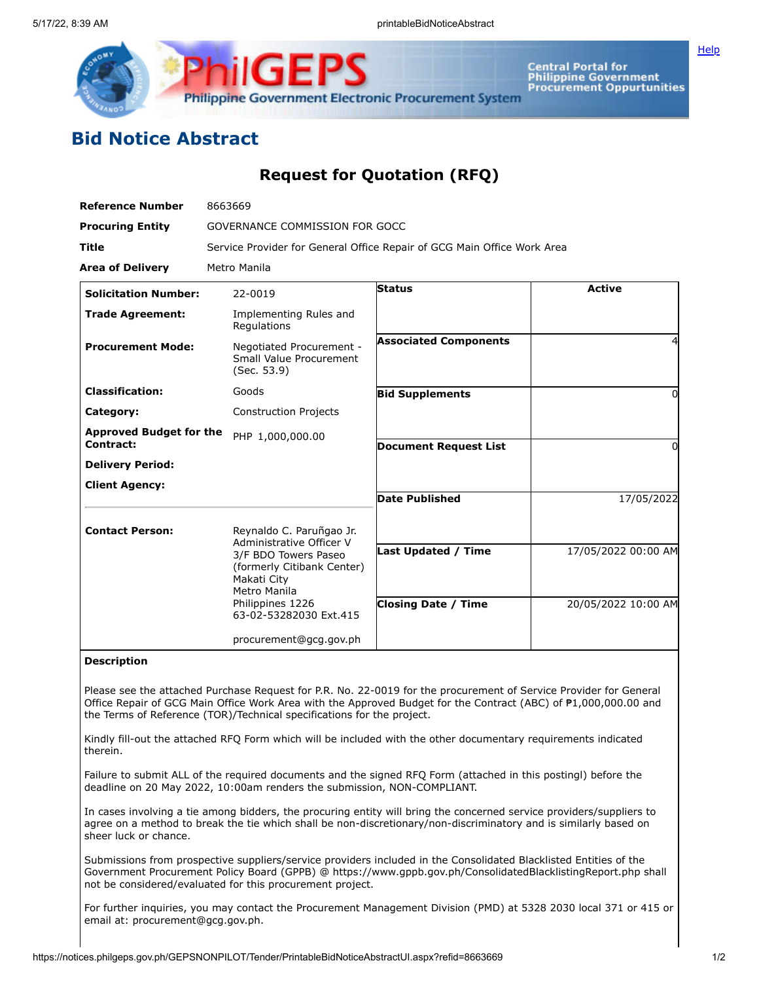

Central Portal for<br>Philippine Government<br>Procurement Oppurtunities

## **Bid Notice Abstract**

## **Request for Quotation (RFQ)**

| <b>Reference Number</b>        | 8663669                                                                                                                                                                                 |                                                          |                                            |
|--------------------------------|-----------------------------------------------------------------------------------------------------------------------------------------------------------------------------------------|----------------------------------------------------------|--------------------------------------------|
| <b>Procuring Entity</b>        | GOVERNANCE COMMISSION FOR GOCC                                                                                                                                                          |                                                          |                                            |
| <b>Title</b>                   | Service Provider for General Office Repair of GCG Main Office Work Area                                                                                                                 |                                                          |                                            |
| <b>Area of Delivery</b>        | Metro Manila                                                                                                                                                                            |                                                          |                                            |
| <b>Solicitation Number:</b>    | 22-0019                                                                                                                                                                                 | Status                                                   | <b>Active</b>                              |
| <b>Trade Agreement:</b>        | Implementing Rules and<br>Regulations                                                                                                                                                   |                                                          |                                            |
| <b>Procurement Mode:</b>       | Negotiated Procurement -<br>Small Value Procurement<br>(Sec. 53.9)                                                                                                                      | <b>Associated Components</b>                             |                                            |
| <b>Classification:</b>         | Goods                                                                                                                                                                                   | <b>Bid Supplements</b>                                   | 0                                          |
| Category:                      | <b>Construction Projects</b>                                                                                                                                                            |                                                          |                                            |
| <b>Approved Budget for the</b> | PHP 1,000,000.00                                                                                                                                                                        |                                                          |                                            |
| Contract:                      |                                                                                                                                                                                         | <b>Document Request List</b>                             | 0                                          |
| <b>Delivery Period:</b>        |                                                                                                                                                                                         |                                                          |                                            |
| <b>Client Agency:</b>          |                                                                                                                                                                                         | <b>Date Published</b>                                    | 17/05/2022                                 |
| <b>Contact Person:</b>         | Reynaldo C. Paruñgao Jr.<br>Administrative Officer V<br>3/F BDO Towers Paseo<br>(formerly Citibank Center)<br>Makati City<br>Metro Manila<br>Philippines 1226<br>63-02-53282030 Ext.415 | <b>Last Updated / Time</b><br><b>Closing Date / Time</b> | 17/05/2022 00:00 AM<br>20/05/2022 10:00 AM |
|                                | procurement@gcg.gov.ph                                                                                                                                                                  |                                                          |                                            |

## **Description**

Please see the attached Purchase Request for P.R. No. 22-0019 for the procurement of Service Provider for General Office Repair of GCG Main Office Work Area with the Approved Budget for the Contract (ABC) of ₱1,000,000.00 and the Terms of Reference (TOR)/Technical specifications for the project.

Kindly fill-out the attached RFQ Form which will be included with the other documentary requirements indicated therein.

Failure to submit ALL of the required documents and the signed RFQ Form (attached in this postingl) before the deadline on 20 May 2022, 10:00am renders the submission, NON-COMPLIANT.

In cases involving a tie among bidders, the procuring entity will bring the concerned service providers/suppliers to agree on a method to break the tie which shall be non-discretionary/non-discriminatory and is similarly based on sheer luck or chance.

Submissions from prospective suppliers/service providers included in the Consolidated Blacklisted Entities of the Government Procurement Policy Board (GPPB) @ https://www.gppb.gov.ph/ConsolidatedBlacklistingReport.php shall not be considered/evaluated for this procurement project.

For further inquiries, you may contact the Procurement Management Division (PMD) at 5328 2030 local 371 or 415 or email at: procurement@gcg.gov.ph.